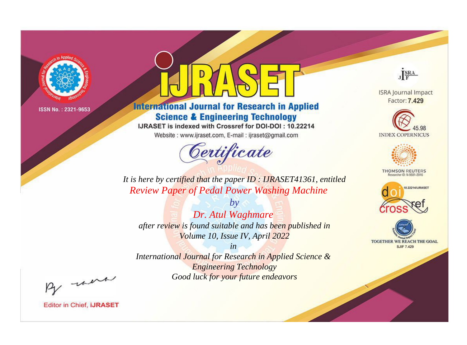

# **International Journal for Research in Applied Science & Engineering Technology**

IJRASET is indexed with Crossref for DOI-DOI: 10.22214

Website: www.ijraset.com, E-mail: ijraset@gmail.com



JERA

**ISRA Journal Impact** Factor: 7.429





**THOMSON REUTERS** 



TOGETHER WE REACH THE GOAL **SJIF 7.429** 

It is here by certified that the paper ID: IJRASET41361, entitled **Review Paper of Pedal Power Washing Machine** 

Dr. Atul Waghmare after review is found suitable and has been published in Volume 10, Issue IV, April 2022

 $by$ 

 $in$ International Journal for Research in Applied Science & **Engineering Technology** Good luck for your future endeavors

By morn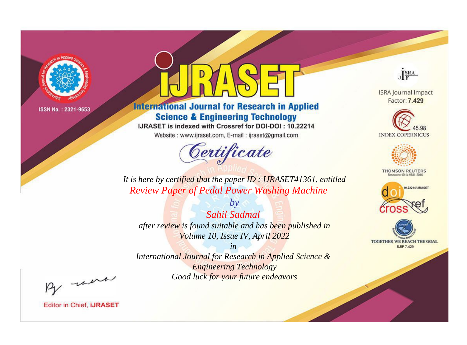

# **International Journal for Research in Applied Science & Engineering Technology**

IJRASET is indexed with Crossref for DOI-DOI: 10.22214

Website: www.ijraset.com, E-mail: ijraset@gmail.com



JERA

**ISRA Journal Impact** Factor: 7.429





**THOMSON REUTERS** 



TOGETHER WE REACH THE GOAL **SJIF 7.429** 

*It is here by certified that the paper ID : IJRASET41361, entitled Review Paper of Pedal Power Washing Machine*

*Sahil Sadmal after review is found suitable and has been published in Volume 10, Issue IV, April 2022*

*by*

*in* 

*International Journal for Research in Applied Science & Engineering Technology Good luck for your future endeavors*

By morn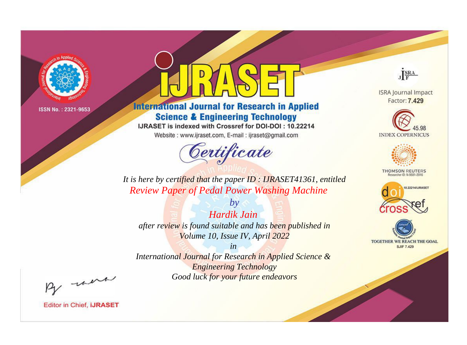

# **International Journal for Research in Applied Science & Engineering Technology**

IJRASET is indexed with Crossref for DOI-DOI: 10.22214

Website: www.ijraset.com, E-mail: ijraset@gmail.com



JERA

**ISRA Journal Impact** Factor: 7.429





**THOMSON REUTERS** 



TOGETHER WE REACH THE GOAL **SJIF 7.429** 

*It is here by certified that the paper ID : IJRASET41361, entitled Review Paper of Pedal Power Washing Machine*

*Hardik Jain after review is found suitable and has been published in Volume 10, Issue IV, April 2022*

*by*

*in* 

*International Journal for Research in Applied Science & Engineering Technology Good luck for your future endeavors*

By morn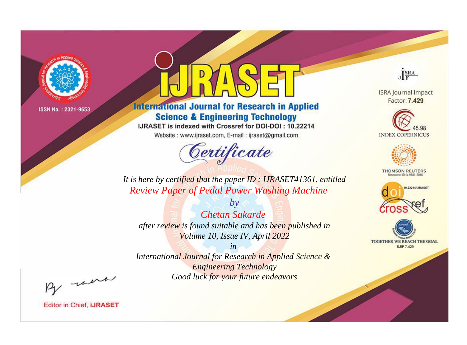

# **International Journal for Research in Applied Science & Engineering Technology**

IJRASET is indexed with Crossref for DOI-DOI: 10.22214

Website: www.ijraset.com, E-mail: ijraset@gmail.com



JERA

**ISRA Journal Impact** Factor: 7.429





**THOMSON REUTERS** 



TOGETHER WE REACH THE GOAL **SJIF 7.429** 

It is here by certified that the paper ID: IJRASET41361, entitled **Review Paper of Pedal Power Washing Machine** 

**Chetan Sakarde** after review is found suitable and has been published in Volume 10, Issue IV, April 2022

 $b\nu$ 

 $in$ International Journal for Research in Applied Science & **Engineering Technology** Good luck for your future endeavors

By morn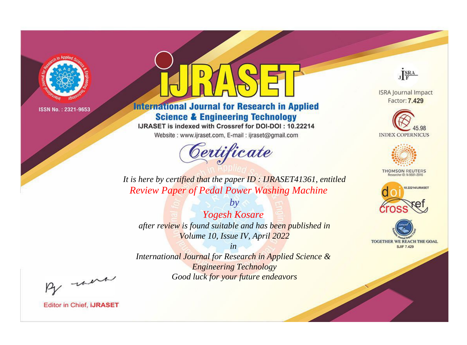

# **International Journal for Research in Applied Science & Engineering Technology**

IJRASET is indexed with Crossref for DOI-DOI: 10.22214

Website: www.ijraset.com, E-mail: ijraset@gmail.com



JERA

**ISRA Journal Impact** Factor: 7.429





**THOMSON REUTERS** 



TOGETHER WE REACH THE GOAL **SJIF 7.429** 

*It is here by certified that the paper ID : IJRASET41361, entitled Review Paper of Pedal Power Washing Machine*

*by Yogesh Kosare after review is found suitable and has been published in Volume 10, Issue IV, April 2022*

*in* 

*International Journal for Research in Applied Science & Engineering Technology Good luck for your future endeavors*

By morn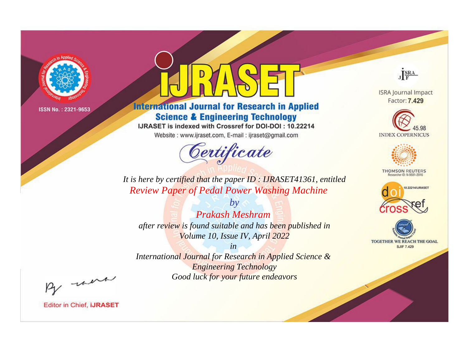

# **International Journal for Research in Applied Science & Engineering Technology**

IJRASET is indexed with Crossref for DOI-DOI: 10.22214

Website: www.ijraset.com, E-mail: ijraset@gmail.com



JERA

**ISRA Journal Impact** Factor: 7.429





**THOMSON REUTERS** 



TOGETHER WE REACH THE GOAL **SJIF 7.429** 

It is here by certified that the paper ID: IJRASET41361, entitled **Review Paper of Pedal Power Washing Machine** 

**Prakash Meshram** after review is found suitable and has been published in Volume 10, Issue IV, April 2022

 $b\nu$ 

 $in$ International Journal for Research in Applied Science & **Engineering Technology** Good luck for your future endeavors

By morn